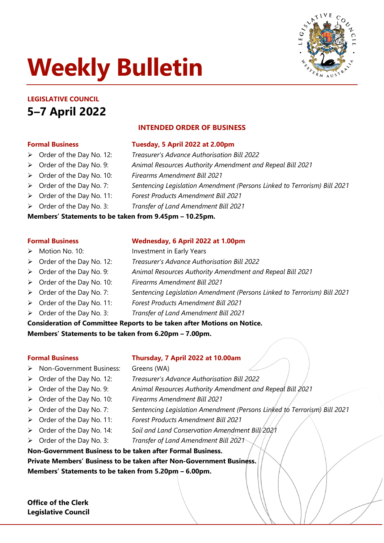# **Weekly Bulletin**



## **LEGISLATIVE COUNCIL 5–7 April 2022**

## **INTENDED ORDER OF BUSINESS**

- **Formal Business Tuesday, 5 April 2022 at 2.00pm**
- Order of the Day No. 12: *Treasurer's Advance Authorisation Bill 2022*
- Order of the Day No. 9: *Animal Resources Authority Amendment and Repeal Bill 2021*
- Order of the Day No. 10: *Firearms Amendment Bill 2021*
- Order of the Day No. 7: *Sentencing Legislation Amendment (Persons Linked to Terrorism) Bill 2021*
- Order of the Day No. 11: *Forest Products Amendment Bill 2021*
- Order of the Day No. 3: *Transfer of Land Amendment Bill 2021*

#### **Members' Statements to be taken from 9.45pm – 10.25pm.**

## **Formal Business Wednesday, 6 April 2022 at 1.00pm**

- Motion No. 10: Investment in Early Years
- Order of the Day No. 12: *Treasurer's Advance Authorisation Bill 2022*
- Order of the Day No. 9: *Animal Resources Authority Amendment and Repeal Bill 2021*
- Order of the Day No. 10: *Firearms Amendment Bill 2021*
- Order of the Day No. 7: *Sentencing Legislation Amendment (Persons Linked to Terrorism) Bill 2021*
	- Order of the Day No. 11: *Forest Products Amendment Bill 2021*
	- Order of the Day No. 3: *Transfer of Land Amendment Bill 2021*
- **Consideration of Committee Reports to be taken after Motions on Notice.**

**Members' Statements to be taken from 6.20pm – 7.00pm.**

#### **Formal Business Thursday, 7 April 2022 at 10.00am**

- > Non-Government Business: Greens (WA)
- Order of the Day No. 12: *Treasurer's Advance Authorisation Bill 2022*
- Order of the Day No. 9: *Animal Resources Authority Amendment and Repeal Bill 2021*
- Order of the Day No. 10: *Firearms Amendment Bill 2021*
- Order of the Day No. 7: *Sentencing Legislation Amendment (Persons Linked to Terrorism) Bill 2021*
- Order of the Day No. 11: *Forest Products Amendment Bill 2021*
- > Order of the Day No. 14: Soil and Land Conservation Amendment Bill 2021
- Order of the Day No. 3: *Transfer of Land Amendment Bill 2021*
- **Non-Government Business to be taken after Formal Business.**

**Private Members' Business to be taken after Non-Government Business.**

**Members' Statements to be taken from 5.20pm – 6.00pm.**

**Office of the Clerk Legislative Council**